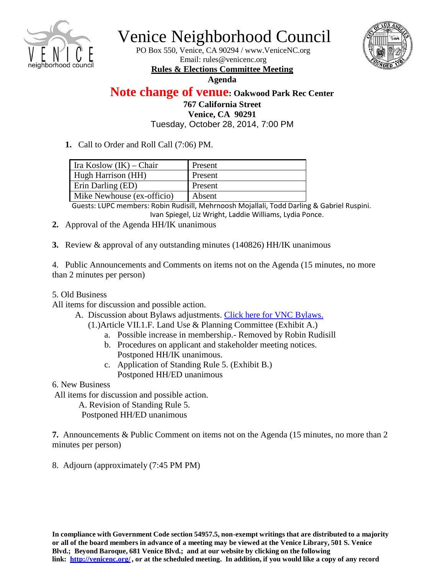

## Venice Neighborhood Council

PO Box 550, Venice, CA 90294 / [www.VeniceNC.org](http://www.venicenc.org/) Email: [rules@venicenc.org](mailto:rules@venicenc.org) **Rules & Elections Committee Meeting**



## **Agenda**

**Note change of venue: Oakwood Park Rec Center 767 California Street Venice, CA 90291** Tuesday, October 28, 2014, 7:00 PM

**1.** Call to Order and Roll Call (7:06) PM.

| Ira Koslow $(IK)$ – Chair  | Present |
|----------------------------|---------|
| Hugh Harrison (HH)         | Present |
| Erin Darling (ED)          | Present |
| Mike Newhouse (ex-officio) | Absent  |

Guests: LUPC members: Robin Rudisill, Mehrnoosh Mojallali, Todd Darling & Gabriel Ruspini. Ivan Spiegel, Liz Wright, Laddie Williams, Lydia Ponce.

- **2.** Approval of the Agenda HH/IK unanimous
- **3.** Review & approval of any outstanding minutes (140826) HH/IK unanimous

4. Public Announcements and Comments on items not on the Agenda (15 minutes, no more than 2 minutes per person)

5. Old Business

All items for discussion and possible action.

- A. Discussion about Bylaws adjustments. [Click here for](http://www.venicenc.org/wp-content/uploads/2013/01/VNC-Venice-NC-Bylaws-2014.pdf) VNC Bylaws.
	- (1.)Article VII.1.F. Land Use & Planning Committee (Exhibit A.)
		- a. Possible increase in membership.- Removed by Robin Rudisill
		- b. Procedures on applicant and stakeholder meeting notices. Postponed HH/IK unanimous.
		- c. Application of Standing Rule 5. (Exhibit B.) Postponed HH/ED unanimous
- 6. New Business

All items for discussion and possible action.

A. Revision of Standing Rule 5.

Postponed HH/ED unanimous

**7.** Announcements & Public Comment on items not on the Agenda (15 minutes, no more than 2 minutes per person)

8. Adjourn (approximately (7:45 PM PM)